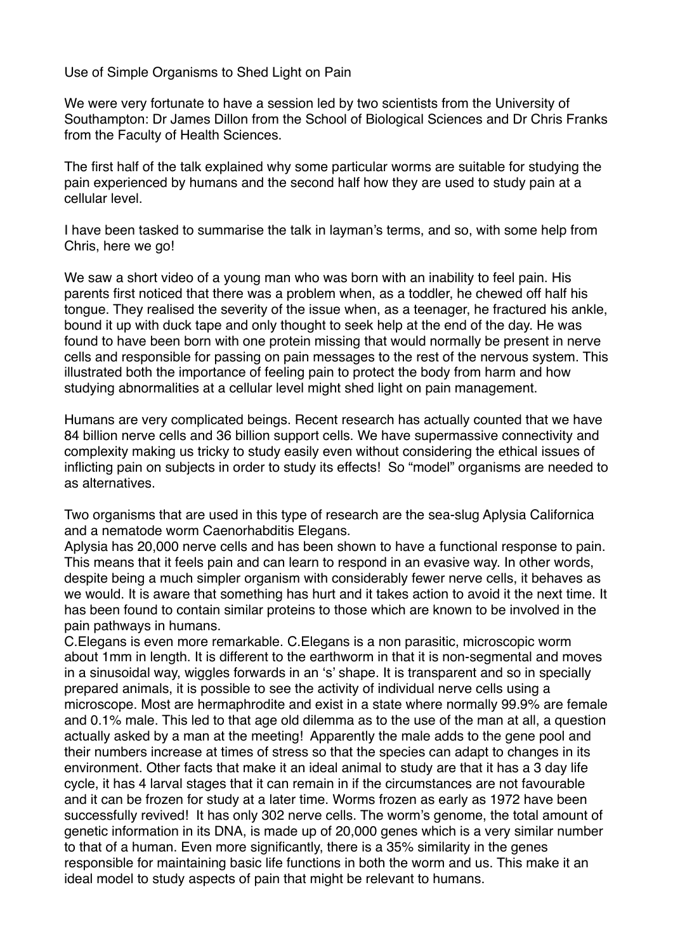Use of Simple Organisms to Shed Light on Pain

We were very fortunate to have a session led by two scientists from the University of Southampton: Dr James Dillon from the School of Biological Sciences and Dr Chris Franks from the Faculty of Health Sciences.

The first half of the talk explained why some particular worms are suitable for studying the pain experienced by humans and the second half how they are used to study pain at a cellular level.

I have been tasked to summarise the talk in layman's terms, and so, with some help from Chris, here we go!

We saw a short video of a young man who was born with an inability to feel pain. His parents first noticed that there was a problem when, as a toddler, he chewed off half his tongue. They realised the severity of the issue when, as a teenager, he fractured his ankle, bound it up with duck tape and only thought to seek help at the end of the day. He was found to have been born with one protein missing that would normally be present in nerve cells and responsible for passing on pain messages to the rest of the nervous system. This illustrated both the importance of feeling pain to protect the body from harm and how studying abnormalities at a cellular level might shed light on pain management.

Humans are very complicated beings. Recent research has actually counted that we have 84 billion nerve cells and 36 billion support cells. We have supermassive connectivity and complexity making us tricky to study easily even without considering the ethical issues of inflicting pain on subjects in order to study its effects! So "model" organisms are needed to as alternatives.

Two organisms that are used in this type of research are the sea-slug Aplysia Californica and a nematode worm Caenorhabditis Elegans.

Aplysia has 20,000 nerve cells and has been shown to have a functional response to pain. This means that it feels pain and can learn to respond in an evasive way. In other words, despite being a much simpler organism with considerably fewer nerve cells, it behaves as we would. It is aware that something has hurt and it takes action to avoid it the next time. It has been found to contain similar proteins to those which are known to be involved in the pain pathways in humans.

C.Elegans is even more remarkable. C.Elegans is a non parasitic, microscopic worm about 1mm in length. It is different to the earthworm in that it is non-segmental and moves in a sinusoidal way, wiggles forwards in an 's' shape. It is transparent and so in specially prepared animals, it is possible to see the activity of individual nerve cells using a microscope. Most are hermaphrodite and exist in a state where normally 99.9% are female and 0.1% male. This led to that age old dilemma as to the use of the man at all, a question actually asked by a man at the meeting! Apparently the male adds to the gene pool and their numbers increase at times of stress so that the species can adapt to changes in its environment. Other facts that make it an ideal animal to study are that it has a 3 day life cycle, it has 4 larval stages that it can remain in if the circumstances are not favourable and it can be frozen for study at a later time. Worms frozen as early as 1972 have been successfully revived! It has only 302 nerve cells. The worm's genome, the total amount of genetic information in its DNA, is made up of 20,000 genes which is a very similar number to that of a human. Even more significantly, there is a 35% similarity in the genes responsible for maintaining basic life functions in both the worm and us. This make it an ideal model to study aspects of pain that might be relevant to humans.